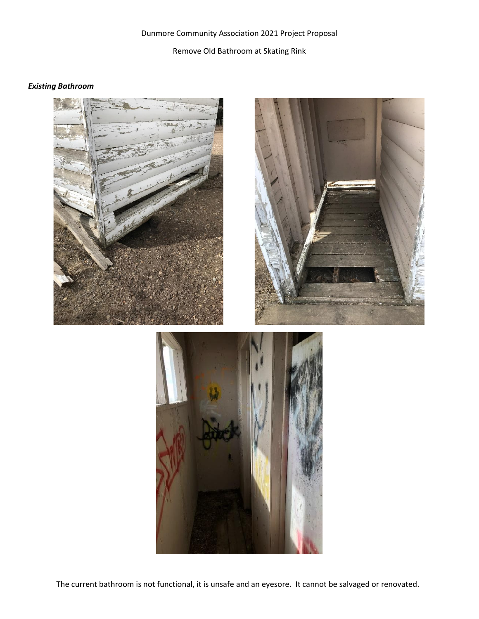## Dunmore Community Association 2021 Project Proposal Remove Old Bathroom at Skating Rink

## *Existing Bathroom*







The current bathroom is not functional, it is unsafe and an eyesore. It cannot be salvaged or renovated.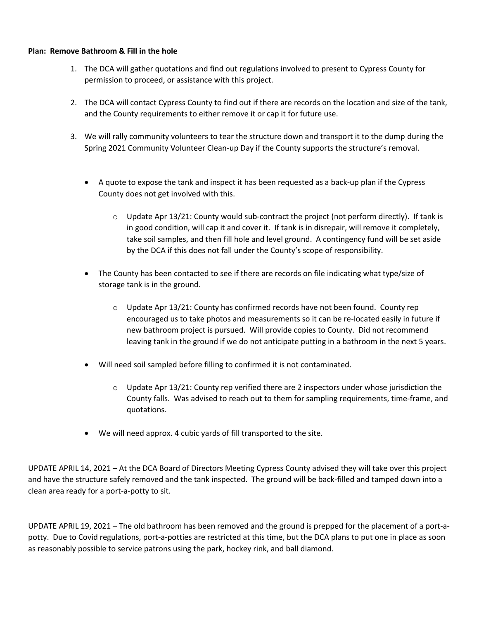## **Plan: Remove Bathroom & Fill in the hole**

- 1. The DCA will gather quotations and find out regulations involved to present to Cypress County for permission to proceed, or assistance with this project.
- 2. The DCA will contact Cypress County to find out if there are records on the location and size of the tank, and the County requirements to either remove it or cap it for future use.
- 3. We will rally community volunteers to tear the structure down and transport it to the dump during the Spring 2021 Community Volunteer Clean-up Day if the County supports the structure's removal.
	- A quote to expose the tank and inspect it has been requested as a back-up plan if the Cypress County does not get involved with this.
		- $\circ$  Update Apr 13/21: County would sub-contract the project (not perform directly). If tank is in good condition, will cap it and cover it. If tank is in disrepair, will remove it completely, take soil samples, and then fill hole and level ground. A contingency fund will be set aside by the DCA if this does not fall under the County's scope of responsibility.
	- The County has been contacted to see if there are records on file indicating what type/size of storage tank is in the ground.
		- $\circ$  Update Apr 13/21: County has confirmed records have not been found. County rep encouraged us to take photos and measurements so it can be re-located easily in future if new bathroom project is pursued. Will provide copies to County. Did not recommend leaving tank in the ground if we do not anticipate putting in a bathroom in the next 5 years.
	- Will need soil sampled before filling to confirmed it is not contaminated.
		- $\circ$  Update Apr 13/21: County rep verified there are 2 inspectors under whose jurisdiction the County falls. Was advised to reach out to them for sampling requirements, time-frame, and quotations.
	- We will need approx. 4 cubic yards of fill transported to the site.

UPDATE APRIL 14, 2021 – At the DCA Board of Directors Meeting Cypress County advised they will take over this project and have the structure safely removed and the tank inspected. The ground will be back-filled and tamped down into a clean area ready for a port-a-potty to sit.

UPDATE APRIL 19, 2021 – The old bathroom has been removed and the ground is prepped for the placement of a port-apotty. Due to Covid regulations, port-a-potties are restricted at this time, but the DCA plans to put one in place as soon as reasonably possible to service patrons using the park, hockey rink, and ball diamond.